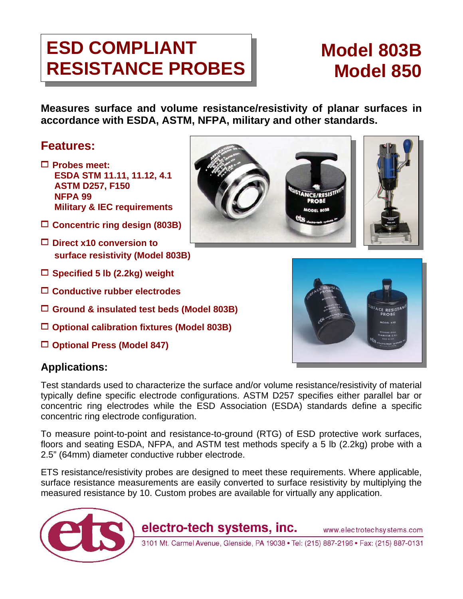# ESD COMPLIANT **NODEL 1803B** RESISTANCE PROBES | Model 850

**Measures surface and volume resistance/resistivity of planar surfaces in accordance with ESDA, ASTM, NFPA, military and other standards.** 

## **Features:**

- 1 **Probes meet: ESDA STM 11.11, 11.12, 4.1 ASTM D257, F150 NFPA 99 Military & IEC requirements**
- 1 **Concentric ring design (803B)**
- 1 **Direct x10 conversion to surface resistivity (Model 803B)**
- 1 **Specified 5 lb (2.2kg) weight**
- 1 **Conductive rubber electrodes**
- 1 **Ground & insulated test beds (Model 803B)**
- 1 **Optional calibration fixtures (Model 803B)**
- 1 **Optional Press (Model 847)**





TANCE/RESISTI

Test standards used to characterize the surface and/or volume resistance/resistivity of material typically define specific electrode configurations. ASTM D257 specifies either parallel bar or concentric ring electrodes while the ESD Association (ESDA) standards define a specific concentric ring electrode configuration.

To measure point-to-point and resistance-to-ground (RTG) of ESD protective work surfaces, floors and seating ESDA, NFPA, and ASTM test methods specify a 5 lb (2.2kg) probe with a 2.5" (64mm) diameter conductive rubber electrode.

ETS resistance/resistivity probes are designed to meet these requirements. Where applicable, surface resistance measurements are easily converted to surface resistivity by multiplying the measured resistance by 10. Custom probes are available for virtually any application.



3101 Mt. Carmel Avenue, Glenside, PA 19038 . Tel: (215) 887-2196 . Fax: (215) 887-0131

www.electrotechsystems.com